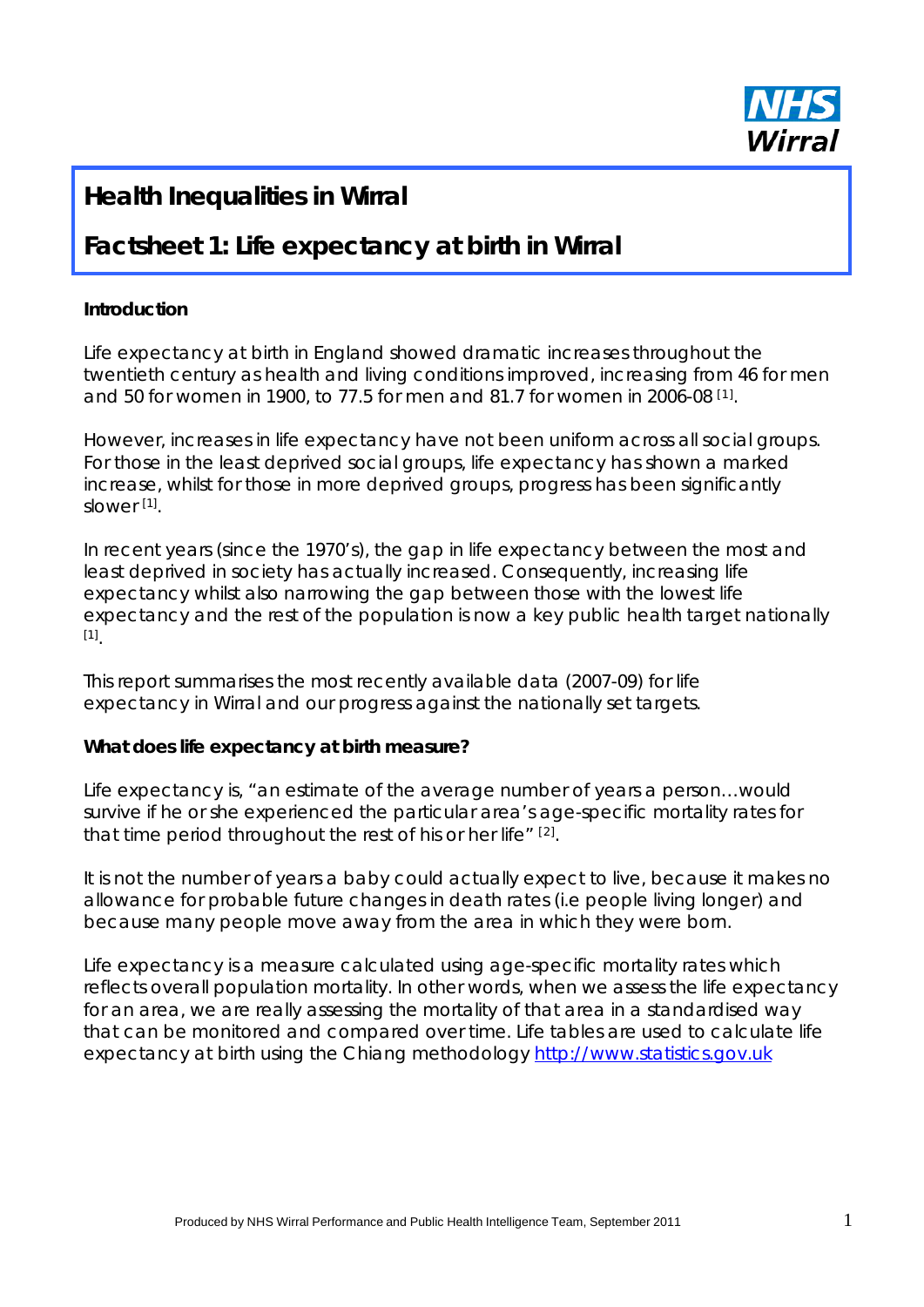

# **Health Inequalities in Wirral**

# **Factsheet 1: Life expectancy at birth in Wirral**

#### **Introduction**

Life expectancy at birth in England showed dramatic increases throughout the twentieth century as health and living conditions improved, increasing from 46 for men and 50 for women in 1900, to 77.5 for men and 81.7 for women in 2006-08  $[1]$ .

However, increases in life expectancy have not been uniform across all social groups. For those in the least deprived social groups, life expectancy has shown a marked increase, whilst for those in more deprived groups, progress has been significantly slower [1].

In recent years (since the 1970's), the gap in life expectancy between the most and least deprived in society has actually increased. Consequently, increasing life expectancy whilst also narrowing the gap between those with the lowest life expectancy and the rest of the population is now a key public health target nationally [1].

This report summarises the most recently available data (2007-09) for life expectancy in Wirral and our progress against the nationally set targets.

#### **What does life expectancy at birth measure?**

Life expectancy is, "an estimate of the average number of years a person…would survive if he or she experienced the particular area's age-specific mortality rates for that time period throughout the rest of his or her life" [2].

It is not the number of years a baby could *actually* expect to live, because it makes no allowance for probable future changes in death rates (i.e people living longer) and because many people move away from the area in which they were born.

Life expectancy is a measure calculated using age-specific mortality rates which reflects overall population mortality. In other words, when we assess the life expectancy for an area, we are really assessing the mortality of that area in a standardised way that can be monitored and compared over time. Life tables are used to calculate life expectancy at birth using the Chiang methodology http://www.statistics.gov.uk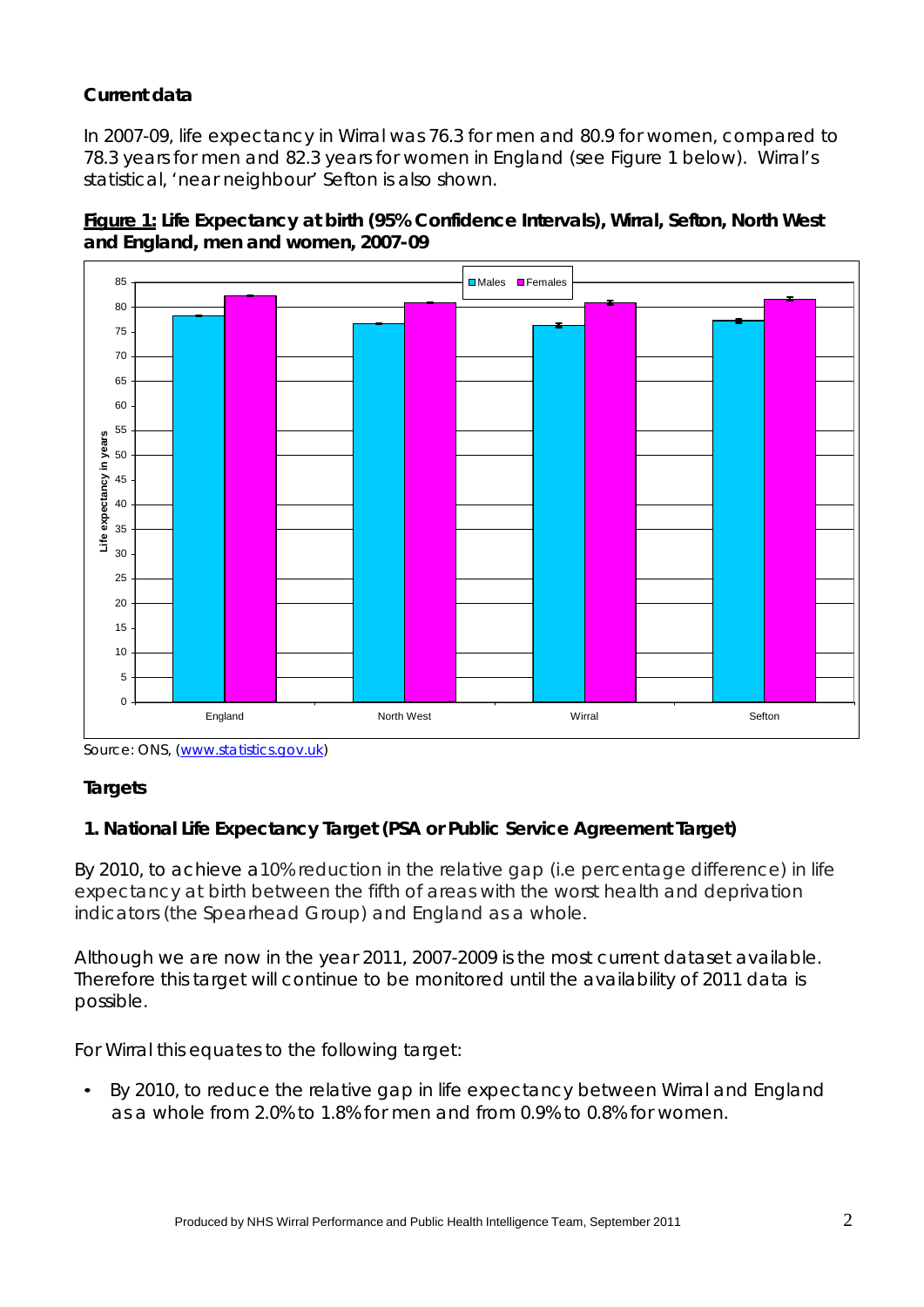## **Current data**

In 2007-09, life expectancy in Wirral was 76.3 for men and 80.9 for women, compared to 78.3 years for men and 82.3 years for women in England (see Figure 1 below). Wirral's statistical, 'near neighbour' Sefton is also shown.





Source: ONS, (www.statistics.gov.uk)

### **Targets**

### **1. National Life Expectancy Target (PSA or Public Service Agreement Target)**

By 2010, to achieve a10% reduction in the relative gap (i.e percentage difference) in life expectancy at birth between the fifth of areas with the worst health and deprivation indicators (the Spearhead Group) and England as a whole.

Although we are now in the year 2011, 2007-2009 is the most current dataset available. Therefore this target will continue to be monitored until the availability of 2011 data is possible.

For Wirral this equates to the following target:

• By 2010, to reduce the relative gap in life expectancy between Wirral and England as a whole from 2.0% to 1.8% for men and from 0.9% to 0.8% for women.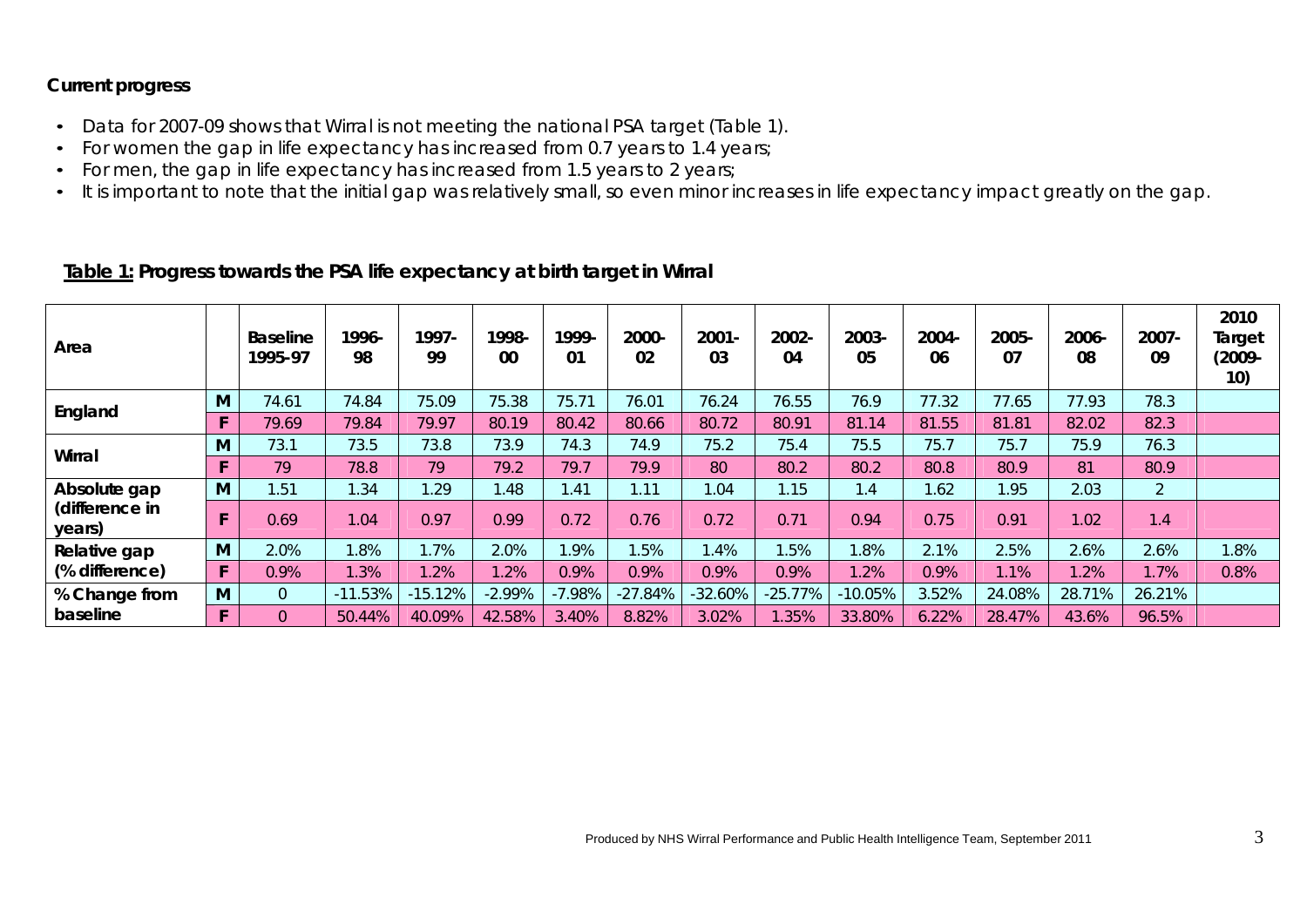#### **Current progress**

- Data for 2007-09 shows that Wirral is not meeting the national PSA target (Table 1).
- For women the gap in life expectancy has increased from 0.7 years to 1.4 years;
- For men, the gap in life expectancy has increased from 1.5 years to 2 years;
- It is important to note that the initial gap was relatively small, so even minor increases in life expectancy impact greatly on the gap.

# **Table 1: Progress towards the PSA life expectancy at birth target in Wirral**

| Area                                     |    | <b>Baseline</b><br>1995-97 | 1996-<br>98 | 1997-<br>99 | 1998-<br>00 | 1999-<br>01 | $2000 -$<br>02 | $2001 -$<br>03 | 2002-<br>04 | 2003-<br>05 | $2004 -$<br>06 | 2005-<br>07 | 2006-<br>08 | 2007-<br>09    | 2010<br>Target<br>$(2009 -$<br>10) |
|------------------------------------------|----|----------------------------|-------------|-------------|-------------|-------------|----------------|----------------|-------------|-------------|----------------|-------------|-------------|----------------|------------------------------------|
| England                                  | M  | 74.61                      | 74.84       | 75.09       | 75.38       | 75.71       | 76.01          | 76.24          | 76.55       | 76.9        | 77.32          | 77.65       | 77.93       | 78.3           |                                    |
|                                          |    | 79.69                      | 79.84       | 79.97       | 80.19       | 80.42       | 80.66          | 80.72          | 80.91       | 81.14       | 81.55          | 81.81       | 82.02       | 82.3           |                                    |
| Wirral                                   | M  | 73.1                       | 73.5        | 73.8        | 73.9        | 74.3        | 74.9           | 75.2           | 75.4        | 75.5        | 75.7           | 75.7        | 75.9        | 76.3           |                                    |
|                                          |    | 79                         | 78.8        | 79          | 79.2        | 79.7        | 79.9           | 80             | 80.2        | 80.2        | 80.8           | 80.9        | 81          | 80.9           |                                    |
| Absolute gap<br>(difference in<br>years) | M  | 1.51                       | 1.34        | 1.29        | .48         | 1.41        | 1.11           | 1.04           | 1.15        | 1.4         | 1.62           | 1.95        | 2.03        | $\overline{2}$ |                                    |
|                                          |    | 0.69                       | 1.04        | 0.97        | 0.99        | 0.72        | 0.76           | 0.72           | 0.71        | 0.94        | 0.75           | 0.91        | 1.02        | 1.4            |                                    |
| Relative gap<br>(% difference)           | M  | 2.0%                       | .8%         | 1.7%        | 2.0%        | .9%         | .5%            | 1.4%           | 1.5%        | .8%         | 2.1%           | 2.5%        | 2.6%        | 2.6%           | 1.8%                               |
|                                          |    | 0.9%                       | .3%         | 1.2%        | 1.2%        | 0.9%        | 0.9%           | 0.9%           | 0.9%        | 1.2%        | 0.9%           | 1.1%        | .2%         | 1.7%           | 0.8%                               |
| % Change from                            | M  | $\overline{0}$             | $-11.53%$   | 15.12%      | $-2.99%$    | $-7.98%$    | $-27.84%$      | $-32.60%$      | $-25.77%$   | $-10.05%$   | 3.52%          | 24.08%      | 28.71%      | 26.21%         |                                    |
| baseline                                 | F. | $\Omega$                   | 50.44%      | 40.09%      | 42.58%      | 3.40%       | 8.82%          | 3.02%          | .35%        | 33.80%      | 6.22%          | 28.47%      | 43.6%       | 96.5%          |                                    |